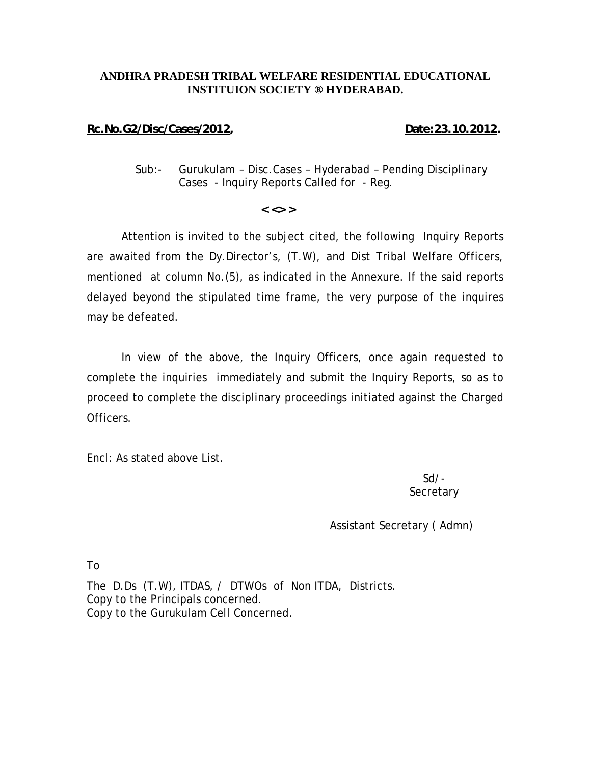# **ANDHRA PRADESH TRIBAL WELFARE RESIDENTIAL EDUCATIONAL INSTITUION SOCIETY ® HYDERABAD.**

# **Rc.No.G2/Disc/Cases/2012, Date:23.10.2012.**

Sub:- Gurukulam – Disc.Cases – Hyderabad – Pending Disciplinary Cases - Inquiry Reports Called for - Reg.

### **< <> >**

Attention is invited to the subject cited, the following Inquiry Reports are awaited from the Dy.Director's, (T.W), and Dist Tribal Welfare Officers, mentioned at column No.(5), as indicated in the Annexure. If the said reports delayed beyond the stipulated time frame, the very purpose of the inquires may be defeated.

 In view of the above, the Inquiry Officers, once again requested to complete the inquiries immediately and submit the Inquiry Reports, so as to proceed to complete the disciplinary proceedings initiated against the Charged Officers.

Encl: As stated above List.

Sd/- **Secretary** 

# Assistant Secretary ( Admn)

To

The D.Ds (T.W), ITDAS, / DTWOs of Non ITDA, Districts. Copy to the Principals concerned. Copy to the Gurukulam Cell Concerned.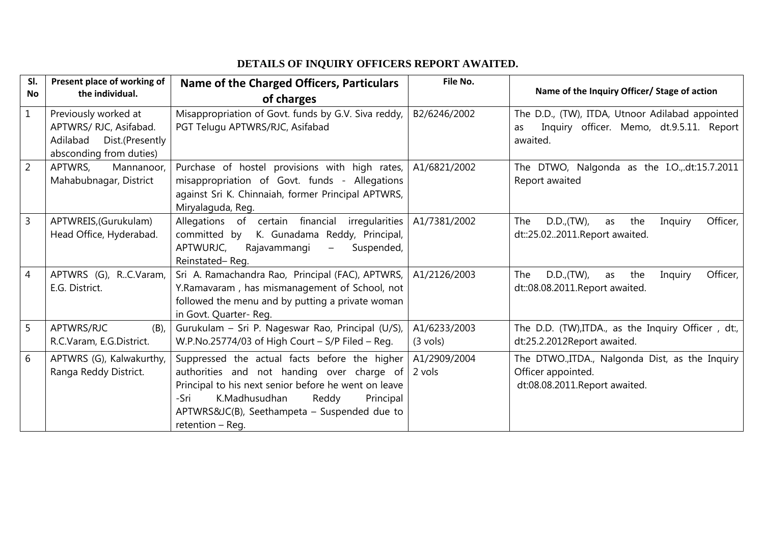# **DETAILS OF INQUIRY OFFICERS REPORT AWAITED.**

| SI.<br>No      | Present place of working of<br>the individual.                                                        | Name of the Charged Officers, Particulars<br>of charges                                                                                                                                                                                                                  | File No.                           | Name of the Inquiry Officer/ Stage of action                                                                  |
|----------------|-------------------------------------------------------------------------------------------------------|--------------------------------------------------------------------------------------------------------------------------------------------------------------------------------------------------------------------------------------------------------------------------|------------------------------------|---------------------------------------------------------------------------------------------------------------|
| $\mathbf{1}$   | Previously worked at<br>APTWRS/ RJC, Asifabad.<br>Adilabad Dist.(Presently<br>absconding from duties) | Misappropriation of Govt. funds by G.V. Siva reddy,<br>PGT Telugu APTWRS/RJC, Asifabad                                                                                                                                                                                   | B2/6246/2002                       | The D.D., (TW), ITDA, Utnoor Adilabad appointed<br>Inquiry officer. Memo, dt.9.5.11. Report<br>as<br>awaited. |
| $\overline{2}$ | APTWRS,<br>Mannanoor,<br>Mahabubnagar, District                                                       | Purchase of hostel provisions with high rates,<br>misappropriation of Govt. funds - Allegations<br>against Sri K. Chinnaiah, former Principal APTWRS,<br>Miryalaguda, Reg.                                                                                               | A1/6821/2002                       | The DTWO, Nalgonda as the I.O.,.dt:15.7.2011<br>Report awaited                                                |
| $\overline{3}$ | APTWREIS, (Gurukulam)<br>Head Office, Hyderabad.                                                      | Allegations of certain financial irregularities<br>K. Gunadama Reddy, Principal,<br>committed by<br>APTWURJC,<br>Suspended,<br>Rajavammangi<br>$\qquad \qquad -$<br>Reinstated-Req.                                                                                      | A1/7381/2002                       | D.D., (TW),<br>Officer,<br>The<br>the<br>Inquiry<br>as<br>dt::25.022011.Report awaited.                       |
| $\overline{4}$ | APTWRS (G),<br>RC.Varam,<br>E.G. District.                                                            | Sri A. Ramachandra Rao, Principal (FAC), APTWRS,<br>Y.Ramavaram, has mismanagement of School, not<br>followed the menu and by putting a private woman<br>in Govt. Quarter-Reg.                                                                                           | A1/2126/2003                       | D.D., (TW),<br>Officer,<br>The<br>the<br>Inquiry<br>as<br>dt::08.08.2011.Report awaited.                      |
| 5              | APTWRS/RJC<br>$(B)$ ,<br>R.C.Varam, E.G.District.                                                     | Gurukulam - Sri P. Nageswar Rao, Principal (U/S),<br>W.P.No.25774/03 of High Court - S/P Filed - Reg.                                                                                                                                                                    | A1/6233/2003<br>$(3 \text{ vols})$ | The D.D. (TW), ITDA., as the Inquiry Officer, dt:,<br>dt:25.2.2012Report awaited.                             |
| 6              | APTWRS (G), Kalwakurthy,<br>Ranga Reddy District.                                                     | Suppressed the actual facts before the higher<br>authorities and not handing over charge of<br>Principal to his next senior before he went on leave<br>K.Madhusudhan<br>-Sri<br>Reddy<br>Principal<br>APTWRS&JC(B), Seethampeta – Suspended due to<br>retention $-$ Req. | A1/2909/2004<br>2 vols             | The DTWO., ITDA., Nalgonda Dist, as the Inquiry<br>Officer appointed.<br>dt:08.08.2011.Report awaited.        |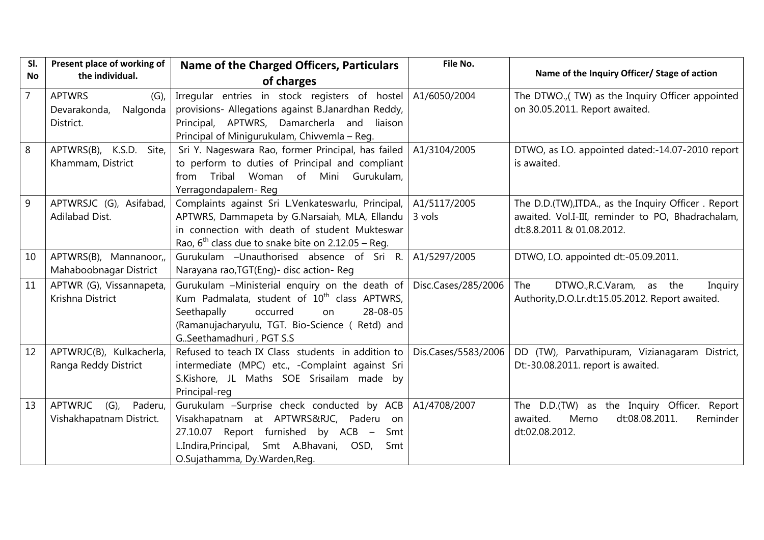| SI.            | Present place of working of   | Name of the Charged Officers, Particulars                | File No.            |                                                     |
|----------------|-------------------------------|----------------------------------------------------------|---------------------|-----------------------------------------------------|
| No             | the individual.               | of charges                                               |                     | Name of the Inquiry Officer/ Stage of action        |
| $\overline{7}$ | <b>APTWRS</b><br>$(G)$ ,      | Irregular entries in stock registers of hostel           | A1/6050/2004        | The DTWO.,(TW) as the Inquiry Officer appointed     |
|                | Nalgonda<br>Devarakonda,      | provisions- Allegations against B.Janardhan Reddy,       |                     | on 30.05.2011. Report awaited.                      |
|                | District.                     | Principal, APTWRS, Damarcherla and<br>liaison            |                     |                                                     |
|                |                               | Principal of Minigurukulam, Chivvemla - Reg.             |                     |                                                     |
| 8              | APTWRS(B), K.S.D.<br>Site,    | Sri Y. Nageswara Rao, former Principal, has failed       | A1/3104/2005        | DTWO, as I.O. appointed dated:-14.07-2010 report    |
|                | Khammam, District             | to perform to duties of Principal and compliant          |                     | is awaited.                                         |
|                |                               | from Tribal Woman of Mini Gurukulam,                     |                     |                                                     |
|                |                               | Yerragondapalem-Reg                                      |                     |                                                     |
| $\overline{9}$ | APTWRSJC (G), Asifabad,       | Complaints against Sri L.Venkateswarlu, Principal,       | A1/5117/2005        | The D.D.(TW), ITDA., as the Inquiry Officer. Report |
|                | Adilabad Dist.                | APTWRS, Dammapeta by G.Narsaiah, MLA, Ellandu            | 3 vols              | awaited. Vol.I-III, reminder to PO, Bhadrachalam,   |
|                |                               | in connection with death of student Mukteswar            |                     | dt:8.8.2011 & 01.08.2012.                           |
|                |                               | Rao, $6^{th}$ class due to snake bite on 2.12.05 – Reg.  |                     |                                                     |
| 10             | APTWRS(B), Mannanoor,         | Gurukulam - Unauthorised absence of Sri R.               | A1/5297/2005        | DTWO, I.O. appointed dt:-05.09.2011.                |
|                | Mahaboobnagar District        | Narayana rao, TGT(Eng) - disc action - Reg               |                     |                                                     |
| 11             | APTWR (G), Vissannapeta,      | Gurukulam -Ministerial enquiry on the death of           | Disc.Cases/285/2006 | The<br>DTWO., R.C. Varam, as the<br>Inquiry         |
|                | Krishna District              | Kum Padmalata, student of 10 <sup>th</sup> class APTWRS, |                     | Authority, D.O.Lr.dt:15.05.2012. Report awaited.    |
|                |                               | Seethapally<br>28-08-05<br>occurred<br>on                |                     |                                                     |
|                |                               | (Ramanujacharyulu, TGT. Bio-Science (Retd) and           |                     |                                                     |
|                |                               | GSeethamadhuri, PGT S.S                                  |                     |                                                     |
| 12             | APTWRJC(B), Kulkacherla,      | Refused to teach IX Class students in addition to        | Dis.Cases/5583/2006 | DD (TW), Parvathipuram, Vizianagaram District,      |
|                | Ranga Reddy District          | intermediate (MPC) etc., -Complaint against Sri          |                     | Dt:-30.08.2011. report is awaited.                  |
|                |                               | S.Kishore, JL Maths SOE Srisailam made by                |                     |                                                     |
|                |                               | Principal-reg                                            |                     |                                                     |
| 13             | APTWRJC<br>$(G)$ ,<br>Paderu, | Gurukulam -Surprise check conducted by ACB               | A1/4708/2007        | The D.D.(TW) as the Inquiry Officer. Report         |
|                | Vishakhapatnam District.      | Visakhapatnam at APTWRS&RJC, Paderu<br>on                |                     | Memo<br>dt:08.08.2011.<br>awaited.<br>Reminder      |
|                |                               | 27.10.07 Report furnished by ACB -<br>Smt                |                     | dt:02.08.2012.                                      |
|                |                               | L.Indira, Principal,<br>Smt A.Bhavani, OSD,<br>Smt       |                     |                                                     |
|                |                               | O.Sujathamma, Dy.Warden, Reg.                            |                     |                                                     |